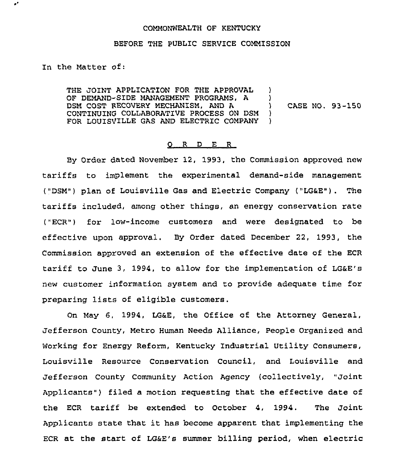## COMMONWEALTH OF KENTUCKY

## BEFORE THE PUBLIC SERVICE COMMISSION

In the Matter of:

THE JOINT APPLICATION FOR THE APPROVAL ) OF DEMAND-SIDE MANAGEMENT PROGRAMS, A ) DSM COST RECOVERY MECHANISM, AND A CONTINUING COLLABORATIVE PROCESS ON DSM ) FOR LOUISVILLE GAS AND ELECTRIC COMPANY ) CASE NO. 93-150

## 0 <sup>R</sup> <sup>D</sup> E <sup>R</sup>

By Ordex dated November 12, 1993, the Commission approved new tariffs to implement the experimental demand-side management ("DSM") plan of Louisville Gas and Electric Company ("LGsE"). The tariffs included, among other things, an energy conservation rate ("ECR") for low-income customers and were designated to be effective upon approval. By Order dated Decembex'2, 1993, the Commission appx'oved an extension of the effective date of the ECR tariff to June 3, 1994, to allow fox the implementation of LGaE's new customex information system and to provide adequate time for preparing lists of eligible customers.

On May 6, 1994, LG&E, the Office of the Attorney General, Jefferson County, Metro Human Needs Alliance, People Organized and Working for Energy Reform, Kentucky Industrial Utility Consumers, Louisville Resource Conservation Council, and Louisville and Jefferson County Community Action Agency (collectively, "Joint Applicants") filed a motion requesting that the effective date of the ECR tariff be extended to October 4, 1994. The Joint Applicants state that it has become apparent that implementing the ECR at the start of LG6E's summer billing period, when electric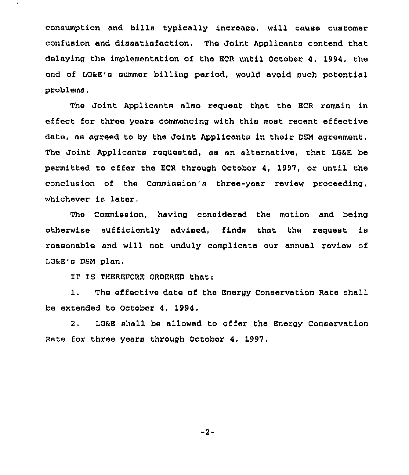consumption and bills typically increase, will cause customer confusion and dissatisfaction. The Joint Applicants contend that delaying the implementation of the ECR until October 4, 1994, the end of LGaE's summer billing period, would avoid such potential problems,

The Joint Applicants also request that the ECR remain in effect for three years commencing with this most recent effective date, as agreed to by the Joint Applicants in their DSM agreement, The Joint Applicants requested, aa an alternative, that LGaE be permitted to offer tho ECR through October 4, 1997, or until the conclusion of the Commission's thrae-year review proceeding, whichever is later,

The Commission, having considered the motion and being otherwise sufficiently advised, finds that the reguest is reasonable and will not unduly complicate our annual review of LG&E's DSM plan.

IT IS THEREFORE ORDERED thati

1. The effective data of tho Energy Conservation Rate shall be extended to October 4, 1994.

2. LGSE shall be allowed to offer the Energy Conservation Rate for three years through October 4, 1997.

-2-